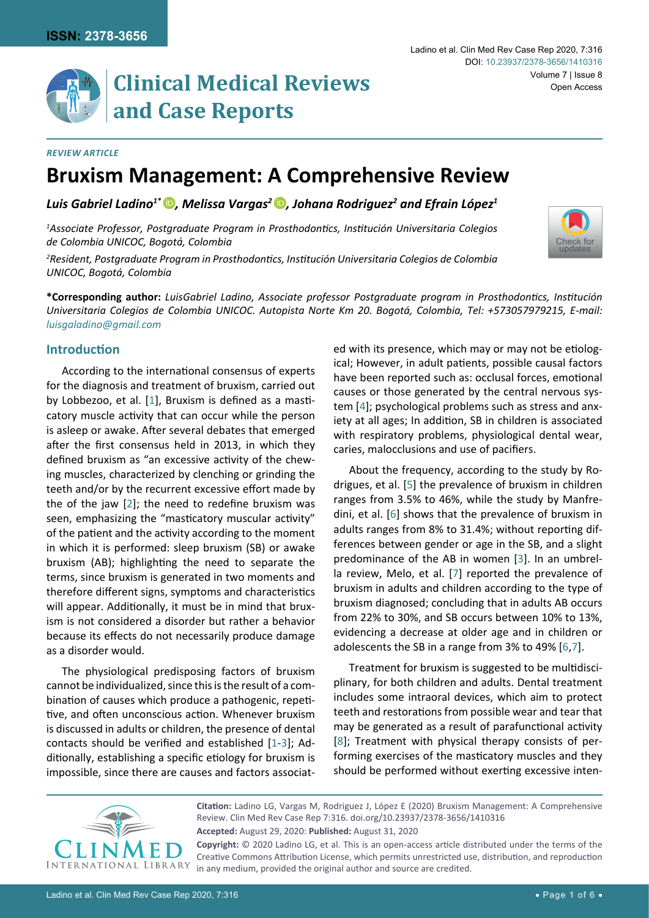

# **Clinical Medical Reviews and Case Reports**

#### *Review Article*

# **Bruxism Management: A Comprehensive Review**

*Luis Gabriel Ladino1\* [,](http://orcid.org/0000-0002-1849-8594) Melissa Vargas[2 ,](http://orcid.org/0000-0002-2159-8035) Johana Rodriguez2 and Efrain López1*

*1 Associate Professor, Postgraduate Program in Prosthodontics, Institución Universitaria Colegios de Colombia UNICOC, Bogotá, Colombia*

*2 Resident, Postgraduate Program in Prosthodontics, Institución Universitaria Colegios de Colombia UNICOC, Bogotá, Colombia*

**\*Corresponding author:** *LuisGabriel Ladino, Associate professor Postgraduate program in Prosthodontics, Institución Universitaria Colegios de Colombia UNICOC. Autopista Norte Km 20. Bogotá, Colombia, Tel: +573057979215, E-mail: luisgaladino@gmail.com*

# **Introduction**

According to the international consensus of experts for the diagnosis and treatment of bruxism, carried out by Lobbezoo, et al. [[1](#page-4-6)], Bruxism is defined as a masticatory muscle activity that can occur while the person is asleep or awake. After several debates that emerged after the first consensus held in 2013, in which they defined bruxism as "an excessive activity of the chewing muscles, characterized by clenching or grinding the teeth and/or by the recurrent excessive effort made by the of the jaw [[2](#page-4-7)]; the need to redefine bruxism was seen, emphasizing the "masticatory muscular activity" of the patient and the activity according to the moment in which it is performed: sleep bruxism (SB) or awake bruxism (AB); highlighting the need to separate the terms, since bruxism is generated in two moments and therefore different signs, symptoms and characteristics will appear. Additionally, it must be in mind that bruxism is not considered a disorder but rather a behavior because its effects do not necessarily produce damage as a disorder would.

The physiological predisposing factors of bruxism cannot be individualized, since this is the result of a combination of causes which produce a pathogenic, repetitive, and often unconscious action. Whenever bruxism is discussed in adults or children, the presence of dental contacts should be verified and established [[1-](#page-4-6)[3\]](#page-4-3); Additionally, establishing a specific etiology for bruxism is impossible, since there are causes and factors associated with its presence, which may or may not be etiological; However, in adult patients, possible causal factors have been reported such as: occlusal forces, emotional causes or those generated by the central nervous system [[4](#page-4-0)]; psychological problems such as stress and anxiety at all ages; In addition, SB in children is associated with respiratory problems, physiological dental wear, caries, malocclusions and use of pacifiers.

About the frequency, according to the study by Rodrigues, et al. [\[5](#page-4-1)] the prevalence of bruxism in children ranges from 3.5% to 46%, while the study by Manfredini, et al. [\[6](#page-4-2)] shows that the prevalence of bruxism in adults ranges from 8% to 31.4%; without reporting differences between gender or age in the SB, and a slight predominance of the AB in women [[3](#page-4-3)]. In an umbrella review, Melo, et al. [\[7](#page-4-4)] reported the prevalence of bruxism in adults and children according to the type of bruxism diagnosed; concluding that in adults AB occurs from 22% to 30%, and SB occurs between 10% to 13%, evidencing a decrease at older age and in children or adolescents the SB in a range from 3% to 49% [[6,](#page-4-2)[7](#page-4-4)].

Treatment for bruxism is suggested to be multidisciplinary, for both children and adults. Dental treatment includes some intraoral devices, which aim to protect teeth and restorations from possible wear and tear that may be generated as a result of parafunctional activity [[8](#page-4-5)]; Treatment with physical therapy consists of performing exercises of the masticatory muscles and they should be performed without exerting excessive inten-



**Accepted:** August 29, 2020: **Published:** August 31, 2020 **Citation:** Ladino LG, Vargas M, Rodriguez J, López E (2020) Bruxism Management: A Comprehensive Review. Clin Med Rev Case Rep 7:316. [doi.org/10.23937/2378-3656/1410316](https://doi.org/10.23937/2378-3656/1410316)

**Copyright:** © 2020 Ladino LG, et al. This is an open-access article distributed under the terms of the Creative Commons Attribution License, which permits unrestricted use, distribution, and reproduction in any medium, provided the original author and source are credited.

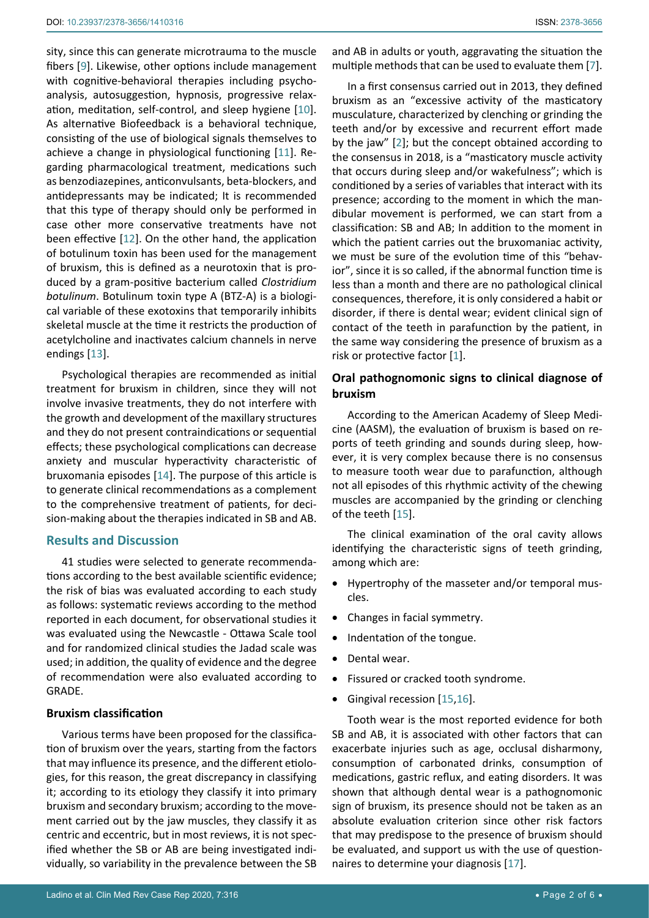sity, since this can generate microtrauma to the muscle fibers [[9](#page-4-10)]. Likewise, other options include management with cognitive-behavioral therapies including psychoanalysis, autosuggestion, hypnosis, progressive relaxation, meditation, self-control, and sleep hygiene [[10](#page-4-11)]. As alternative Biofeedback is a behavioral technique, consisting of the use of biological signals themselves to achieve a change in physiological functioning [[11](#page-4-12)]. Regarding pharmacological treatment, medications such as benzodiazepines, anticonvulsants, beta-blockers, and antidepressants may be indicated; It is recommended that this type of therapy should only be performed in case other more conservative treatments have not been effective [[12](#page-4-13)]. On the other hand, the application of botulinum toxin has been used for the management of bruxism, this is defined as a neurotoxin that is produced by a gram-positive bacterium called *Clostridium botulinum*. Botulinum toxin type A (BTZ-A) is a biological variable of these exotoxins that temporarily inhibits skeletal muscle at the time it restricts the production of acetylcholine and inactivates calcium channels in nerve endings [\[13](#page-4-14)].

Psychological therapies are recommended as initial treatment for bruxism in children, since they will not involve invasive treatments, they do not interfere with the growth and development of the maxillary structures and they do not present contraindications or sequential effects; these psychological complications can decrease anxiety and muscular hyperactivity characteristic of bruxomania episodes [[14](#page-4-15)]. The purpose of this article is to generate clinical recommendations as a complement to the comprehensive treatment of patients, for decision-making about the therapies indicated in SB and AB.

# **Results and Discussion**

41 studies were selected to generate recommendations according to the best available scientific evidence; the risk of bias was evaluated according to each study as follows: systematic reviews according to the method reported in each document, for observational studies it was evaluated using the Newcastle - Ottawa Scale tool and for randomized clinical studies the Jadad scale was used; in addition, the quality of evidence and the degree of recommendation were also evaluated according to GRADE.

# **Bruxism classification**

Various terms have been proposed for the classification of bruxism over the years, starting from the factors that may influence its presence, and the different etiologies, for this reason, the great discrepancy in classifying it; according to its etiology they classify it into primary bruxism and secondary bruxism; according to the movement carried out by the jaw muscles, they classify it as centric and eccentric, but in most reviews, it is not specified whether the SB or AB are being investigated individually, so variability in the prevalence between the SB

and AB in adults or youth, aggravating the situation the multiple methods that can be used to evaluate them [[7\]](#page-4-4).

In a first consensus carried out in 2013, they defined bruxism as an "excessive activity of the masticatory musculature, characterized by clenching or grinding the teeth and/or by excessive and recurrent effort made by the jaw" [[2](#page-4-7)]; but the concept obtained according to the consensus in 2018, is a "masticatory muscle activity that occurs during sleep and/or wakefulness"; which is conditioned by a series of variables that interact with its presence; according to the moment in which the mandibular movement is performed, we can start from a classification: SB and AB; In addition to the moment in which the patient carries out the bruxomaniac activity, we must be sure of the evolution time of this "behavior", since it is so called, if the abnormal function time is less than a month and there are no pathological clinical consequences, therefore, it is only considered a habit or disorder, if there is dental wear; evident clinical sign of contact of the teeth in parafunction by the patient, in the same way considering the presence of bruxism as a risk or protective factor [[1](#page-4-6)].

# **Oral pathognomonic signs to clinical diagnose of bruxism**

According to the American Academy of Sleep Medicine (AASM), the evaluation of bruxism is based on reports of teeth grinding and sounds during sleep, however, it is very complex because there is no consensus to measure tooth wear due to parafunction, although not all episodes of this rhythmic activity of the chewing muscles are accompanied by the grinding or clenching of the teeth [[15\]](#page-4-8).

The clinical examination of the oral cavity allows identifying the characteristic signs of teeth grinding, among which are:

- Hypertrophy of the masseter and/or temporal muscles.
- Changes in facial symmetry.
- Indentation of the tongue.
- Dental wear.
- Fissured or cracked tooth syndrome.
- Gingival recession [\[15](#page-4-8),[16](#page-4-9)].

Tooth wear is the most reported evidence for both SB and AB, it is associated with other factors that can exacerbate injuries such as age, occlusal disharmony, consumption of carbonated drinks, consumption of medications, gastric reflux, and eating disorders. It was shown that although dental wear is a pathognomonic sign of bruxism, its presence should not be taken as an absolute evaluation criterion since other risk factors that may predispose to the presence of bruxism should be evaluated, and support us with the use of questionnaires to determine your diagnosis [[17](#page-5-0)].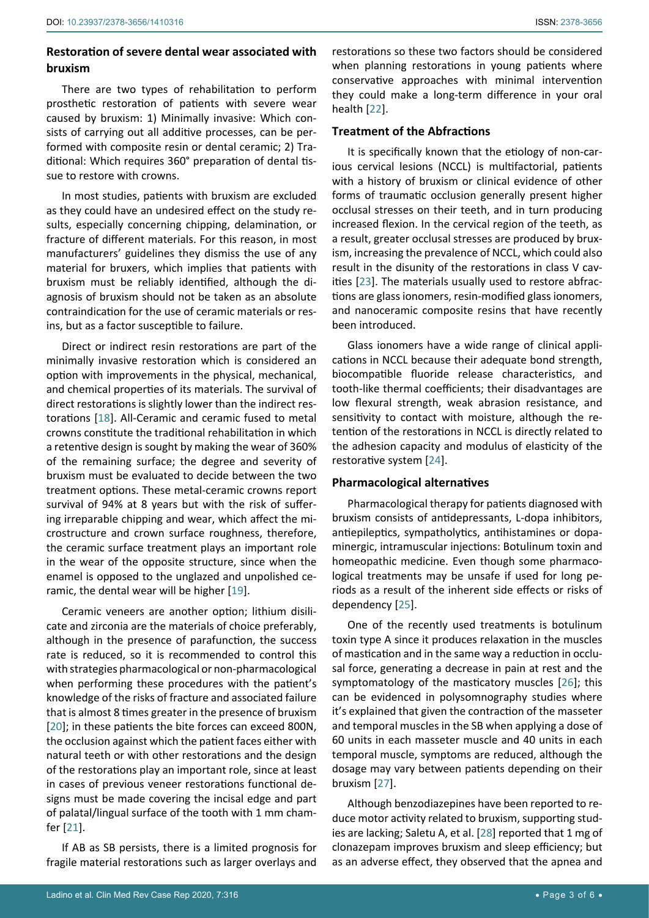# **Restoration of severe dental wear associated with bruxism**

There are two types of rehabilitation to perform prosthetic restoration of patients with severe wear caused by bruxism: 1) Minimally invasive: Which consists of carrying out all additive processes, can be performed with composite resin or dental ceramic; 2) Traditional: Which requires 360° preparation of dental tissue to restore with crowns.

In most studies, patients with bruxism are excluded as they could have an undesired effect on the study results, especially concerning chipping, delamination, or fracture of different materials. For this reason, in most manufacturers' guidelines they dismiss the use of any material for bruxers, which implies that patients with bruxism must be reliably identified, although the diagnosis of bruxism should not be taken as an absolute contraindication for the use of ceramic materials or resins, but as a factor susceptible to failure.

Direct or indirect resin restorations are part of the minimally invasive restoration which is considered an option with improvements in the physical, mechanical, and chemical properties of its materials. The survival of direct restorations is slightly lower than the indirect restorations [[18](#page-5-8)]. All-Ceramic and ceramic fused to metal crowns constitute the traditional rehabilitation in which a retentive design is sought by making the wear of 360% of the remaining surface; the degree and severity of bruxism must be evaluated to decide between the two treatment options. These metal-ceramic crowns report survival of 94% at 8 years but with the risk of suffering irreparable chipping and wear, which affect the microstructure and crown surface roughness, therefore, the ceramic surface treatment plays an important role in the wear of the opposite structure, since when the enamel is opposed to the unglazed and unpolished ceramic, the dental wear will be higher [[19](#page-5-9)].

Ceramic veneers are another option; lithium disilicate and zirconia are the materials of choice preferably, although in the presence of parafunction, the success rate is reduced, so it is recommended to control this with strategies pharmacological or non-pharmacological when performing these procedures with the patient's knowledge of the risks of fracture and associated failure that is almost 8 times greater in the presence of bruxism [[20](#page-5-10)]; in these patients the bite forces can exceed 800N, the occlusion against which the patient faces either with natural teeth or with other restorations and the design of the restorations play an important role, since at least in cases of previous veneer restorations functional designs must be made covering the incisal edge and part of palatal/lingual surface of the tooth with 1 mm chamfer [[21](#page-5-11)].

If AB as SB persists, there is a limited prognosis for fragile material restorations such as larger overlays and

restorations so these two factors should be considered when planning restorations in young patients where conservative approaches with minimal intervention they could make a long-term difference in your oral health [\[22](#page-5-1)].

# **Treatment of the Abfractions**

It is specifically known that the etiology of non-carious cervical lesions (NCCL) is multifactorial, patients with a history of bruxism or clinical evidence of other forms of traumatic occlusion generally present higher occlusal stresses on their teeth, and in turn producing increased flexion. In the cervical region of the teeth, as a result, greater occlusal stresses are produced by bruxism, increasing the prevalence of NCCL, which could also result in the disunity of the restorations in class V cavities [[23](#page-5-2)]. The materials usually used to restore abfractions are glass ionomers, resin-modified glass ionomers, and nanoceramic composite resins that have recently been introduced.

Glass ionomers have a wide range of clinical applications in NCCL because their adequate bond strength, biocompatible fluoride release characteristics, and tooth-like thermal coefficients; their disadvantages are low flexural strength, weak abrasion resistance, and sensitivity to contact with moisture, although the retention of the restorations in NCCL is directly related to the adhesion capacity and modulus of elasticity of the restorative system [[24\]](#page-5-3).

# **Pharmacological alternatives**

Pharmacological therapy for patients diagnosed with bruxism consists of antidepressants, L-dopa inhibitors, antiepileptics, sympatholytics, antihistamines or dopaminergic, intramuscular injections: Botulinum toxin and homeopathic medicine. Even though some pharmacological treatments may be unsafe if used for long periods as a result of the inherent side effects or risks of dependency [[25\]](#page-5-4).

One of the recently used treatments is botulinum toxin type A since it produces relaxation in the muscles of mastication and in the same way a reduction in occlusal force, generating a decrease in pain at rest and the symptomatology of the masticatory muscles [[26](#page-5-5)]; this can be evidenced in polysomnography studies where it's explained that given the contraction of the masseter and temporal muscles in the SB when applying a dose of 60 units in each masseter muscle and 40 units in each temporal muscle, symptoms are reduced, although the dosage may vary between patients depending on their bruxism [[27\]](#page-5-6).

Although benzodiazepines have been reported to reduce motor activity related to bruxism, supporting studies are lacking; Saletu A, et al. [[28](#page-5-7)] reported that 1 mg of clonazepam improves bruxism and sleep efficiency; but as an adverse effect, they observed that the apnea and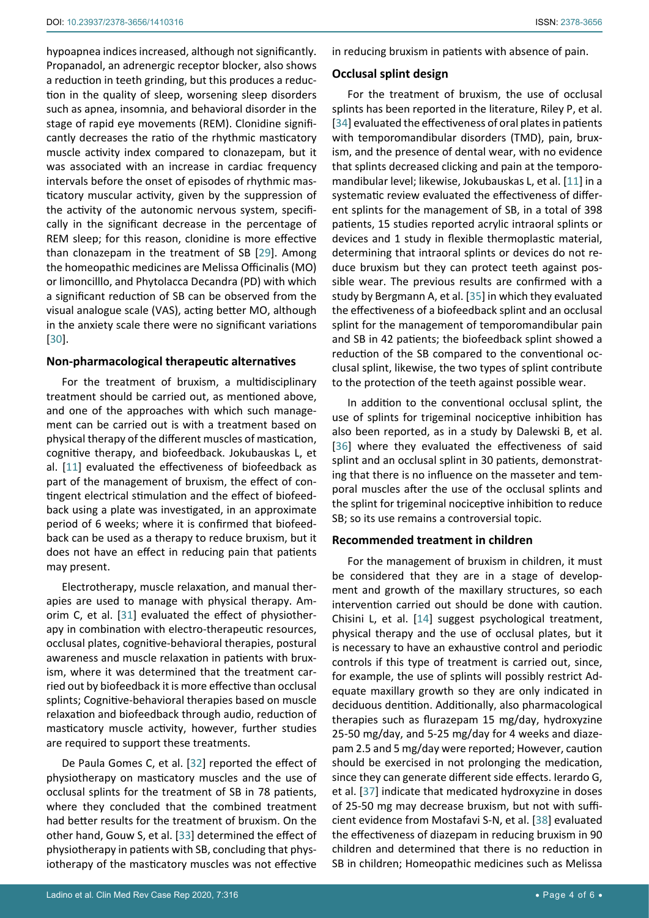hypoapnea indices increased, although not significantly. Propanadol, an adrenergic receptor blocker, also shows a reduction in teeth grinding, but this produces a reduction in the quality of sleep, worsening sleep disorders such as apnea, insomnia, and behavioral disorder in the stage of rapid eye movements (REM). Clonidine significantly decreases the ratio of the rhythmic masticatory muscle activity index compared to clonazepam, but it was associated with an increase in cardiac frequency intervals before the onset of episodes of rhythmic masticatory muscular activity, given by the suppression of the activity of the autonomic nervous system, specifically in the significant decrease in the percentage of REM sleep; for this reason, clonidine is more effective than clonazepam in the treatment of SB [[29](#page-5-17)]. Among the homeopathic medicines are Melissa Officinalis (MO) or limoncilllo, and Phytolacca Decandra (PD) with which a significant reduction of SB can be observed from the visual analogue scale (VAS), acting better MO, although in the anxiety scale there were no significant variations [[30](#page-5-18)].

# **Non-pharmacological therapeutic alternatives**

For the treatment of bruxism, a multidisciplinary treatment should be carried out, as mentioned above, and one of the approaches with which such management can be carried out is with a treatment based on physical therapy of the different muscles of mastication, cognitive therapy, and biofeedback. Jokubauskas L, et al. [[11](#page-4-12)] evaluated the effectiveness of biofeedback as part of the management of bruxism, the effect of contingent electrical stimulation and the effect of biofeedback using a plate was investigated, in an approximate period of 6 weeks; where it is confirmed that biofeedback can be used as a therapy to reduce bruxism, but it does not have an effect in reducing pain that patients may present.

Electrotherapy, muscle relaxation, and manual therapies are used to manage with physical therapy. Amorim C, et al. [[31](#page-5-19)] evaluated the effect of physiotherapy in combination with electro-therapeutic resources, occlusal plates, cognitive-behavioral therapies, postural awareness and muscle relaxation in patients with bruxism, where it was determined that the treatment carried out by biofeedback it is more effective than occlusal splints; Cognitive-behavioral therapies based on muscle relaxation and biofeedback through audio, reduction of masticatory muscle activity, however, further studies are required to support these treatments.

De Paula Gomes C, et al. [[32](#page-5-20)] reported the effect of physiotherapy on masticatory muscles and the use of occlusal splints for the treatment of SB in 78 patients, where they concluded that the combined treatment had better results for the treatment of bruxism. On the other hand, Gouw S, et al. [[33](#page-5-21)] determined the effect of physiotherapy in patients with SB, concluding that physiotherapy of the masticatory muscles was not effective

in reducing bruxism in patients with absence of pain.

# **Occlusal splint design**

For the treatment of bruxism, the use of occlusal splints has been reported in the literature, Riley P, et al. [\[34](#page-5-12)] evaluated the effectiveness of oral plates in patients with temporomandibular disorders (TMD), pain, bruxism, and the presence of dental wear, with no evidence that splints decreased clicking and pain at the temporomandibular level; likewise, Jokubauskas L, et al. [[11](#page-4-12)] in a systematic review evaluated the effectiveness of different splints for the management of SB, in a total of 398 patients, 15 studies reported acrylic intraoral splints or devices and 1 study in flexible thermoplastic material, determining that intraoral splints or devices do not reduce bruxism but they can protect teeth against possible wear. The previous results are confirmed with a study by Bergmann A, et al. [[35\]](#page-5-13) in which they evaluated the effectiveness of a biofeedback splint and an occlusal splint for the management of temporomandibular pain and SB in 42 patients; the biofeedback splint showed a reduction of the SB compared to the conventional occlusal splint, likewise, the two types of splint contribute to the protection of the teeth against possible wear.

In addition to the conventional occlusal splint, the use of splints for trigeminal nociceptive inhibition has also been reported, as in a study by Dalewski B, et al. [\[36](#page-5-14)] where they evaluated the effectiveness of said splint and an occlusal splint in 30 patients, demonstrating that there is no influence on the masseter and temporal muscles after the use of the occlusal splints and the splint for trigeminal nociceptive inhibition to reduce SB; so its use remains a controversial topic.

#### **Recommended treatment in children**

For the management of bruxism in children, it must be considered that they are in a stage of development and growth of the maxillary structures, so each intervention carried out should be done with caution. Chisini L, et al. [[14\]](#page-4-15) suggest psychological treatment, physical therapy and the use of occlusal plates, but it is necessary to have an exhaustive control and periodic controls if this type of treatment is carried out, since, for example, the use of splints will possibly restrict Adequate maxillary growth so they are only indicated in deciduous dentition. Additionally, also pharmacological therapies such as flurazepam 15 mg/day, hydroxyzine 25-50 mg/day, and 5-25 mg/day for 4 weeks and diazepam 2.5 and 5 mg/day were reported; However, caution should be exercised in not prolonging the medication, since they can generate different side effects. Ierardo G, et al. [\[37](#page-5-15)] indicate that medicated hydroxyzine in doses of 25-50 mg may decrease bruxism, but not with sufficient evidence from Mostafavi S-N, et al. [[38\]](#page-5-16) evaluated the effectiveness of diazepam in reducing bruxism in 90 children and determined that there is no reduction in SB in children; Homeopathic medicines such as Melissa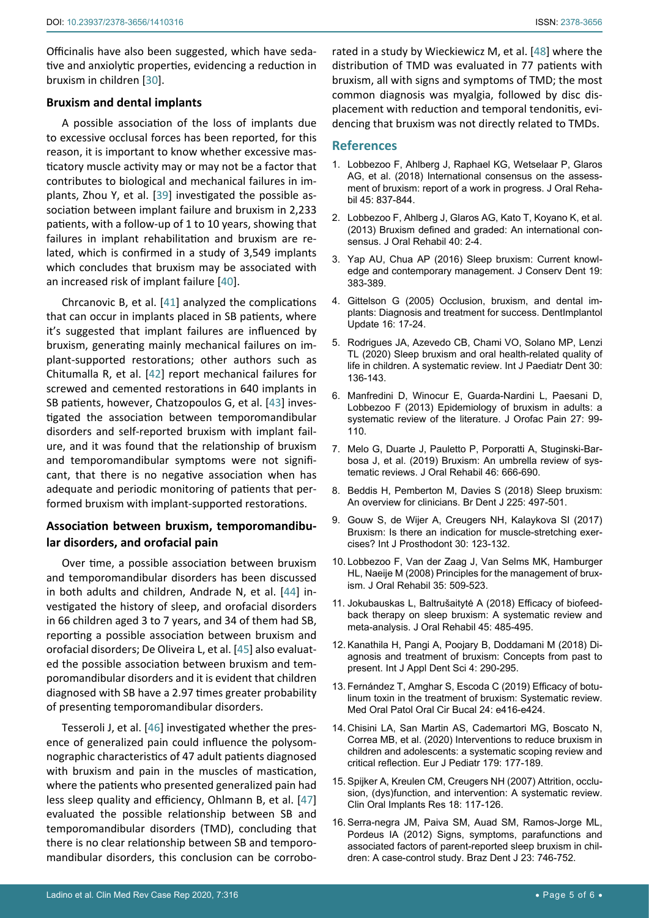Officinalis have also been suggested, which have sedative and anxiolytic properties, evidencing a reduction in bruxism in children [[30\]](#page-5-18).

#### **Bruxism and dental implants**

A possible association of the loss of implants due to excessive occlusal forces has been reported, for this reason, it is important to know whether excessive masticatory muscle activity may or may not be a factor that contributes to biological and mechanical failures in implants, Zhou Y, et al. [\[39](#page-5-23)] investigated the possible association between implant failure and bruxism in 2,233 patients, with a follow-up of 1 to 10 years, showing that failures in implant rehabilitation and bruxism are related, which is confirmed in a study of 3,549 implants which concludes that bruxism may be associated with an increased risk of implant failure [[40](#page-5-24)].

Chrcanovic B, et al. [\[41](#page-5-25)] analyzed the complications that can occur in implants placed in SB patients, where it's suggested that implant failures are influenced by bruxism, generating mainly mechanical failures on implant-supported restorations; other authors such as Chitumalla R, et al. [[42](#page-5-26)] report mechanical failures for screwed and cemented restorations in 640 implants in SB patients, however, Chatzopoulos G, et al. [[43](#page-5-27)] investigated the association between temporomandibular disorders and self-reported bruxism with implant failure, and it was found that the relationship of bruxism and temporomandibular symptoms were not significant, that there is no negative association when has adequate and periodic monitoring of patients that performed bruxism with implant-supported restorations.

# **Association between bruxism, temporomandibular disorders, and orofacial pain**

Over time, a possible association between bruxism and temporomandibular disorders has been discussed in both adults and children, Andrade N, et al. [[44\]](#page-5-28) investigated the history of sleep, and orofacial disorders in 66 children aged 3 to 7 years, and 34 of them had SB, reporting a possible association between bruxism and orofacial disorders; De Oliveira L, et al. [[45\]](#page-5-29) also evaluated the possible association between bruxism and temporomandibular disorders and it is evident that children diagnosed with SB have a 2.97 times greater probability of presenting temporomandibular disorders.

Tesseroli J, et al. [[46](#page-5-30)] investigated whether the presence of generalized pain could influence the polysomnographic characteristics of 47 adult patients diagnosed with bruxism and pain in the muscles of mastication, where the patients who presented generalized pain had less sleep quality and efficiency, Ohlmann B, et al. [[47](#page-5-31)] evaluated the possible relationship between SB and temporomandibular disorders (TMD), concluding that there is no clear relationship between SB and temporomandibular disorders, this conclusion can be corrobo-

rated in a study by Wieckiewicz M, et al. [[48](#page-5-22)] where the distribution of TMD was evaluated in 77 patients with bruxism, all with signs and symptoms of TMD; the most common diagnosis was myalgia, followed by disc displacement with reduction and temporal tendonitis, evidencing that bruxism was not directly related to TMDs.

#### **References**

- <span id="page-4-6"></span>1. [Lobbezoo F, Ahlberg J, Raphael KG, Wetselaar P, Glaros](https://pubmed.ncbi.nlm.nih.gov/29926505/)  [AG, et al. \(2018\) International consensus on the assess](https://pubmed.ncbi.nlm.nih.gov/29926505/)[ment of bruxism: report of a work in progress. J Oral Reha](https://pubmed.ncbi.nlm.nih.gov/29926505/)[bil 45: 837-844.](https://pubmed.ncbi.nlm.nih.gov/29926505/)
- <span id="page-4-7"></span>2. [Lobbezoo F, Ahlberg J, Glaros AG, Kato T, Koyano K, et al.](https://pubmed.ncbi.nlm.nih.gov/23121262/)  [\(2013\) Bruxism defined and graded: An international con](https://pubmed.ncbi.nlm.nih.gov/23121262/)[sensus. J Oral Rehabil 40: 2-4.](https://pubmed.ncbi.nlm.nih.gov/23121262/)
- <span id="page-4-3"></span>3. [Yap AU, Chua AP \(2016\) Sleep bruxism: Current knowl](https://www.ncbi.nlm.nih.gov/pmc/articles/PMC5026093/)[edge and contemporary management. J Conserv Dent 19:](https://www.ncbi.nlm.nih.gov/pmc/articles/PMC5026093/)  [383-389.](https://www.ncbi.nlm.nih.gov/pmc/articles/PMC5026093/)
- <span id="page-4-0"></span>4. [Gittelson G \(2005\) Occlusion, bruxism, and dental im](https://pubmed.ncbi.nlm.nih.gov/15787318/)[plants: Diagnosis and treatment for success. DentImplantol](https://pubmed.ncbi.nlm.nih.gov/15787318/)  [Update 16: 17-24.](https://pubmed.ncbi.nlm.nih.gov/15787318/)
- <span id="page-4-1"></span>5. [Rodrigues JA, Azevedo CB, Chami VO, Solano MP, Lenzi](https://pubmed.ncbi.nlm.nih.gov/31630473/)  [TL \(2020\) Sleep bruxism and oral health-related quality of](https://pubmed.ncbi.nlm.nih.gov/31630473/)  [life in children. A systematic review. Int J Paediatr Dent 30:](https://pubmed.ncbi.nlm.nih.gov/31630473/)  [136-143.](https://pubmed.ncbi.nlm.nih.gov/31630473/)
- <span id="page-4-2"></span>6. [Manfredini D, Winocur E, Guarda-Nardini L, Paesani D,](https://www.lucaguarda.it/articoli/159-Epidemiology.pdf)  [Lobbezoo F \(2013\) Epidemiology of bruxism in adults: a](https://www.lucaguarda.it/articoli/159-Epidemiology.pdf)  [systematic review of the literature. J Orofac Pain 27: 99-](https://www.lucaguarda.it/articoli/159-Epidemiology.pdf) [110.](https://www.lucaguarda.it/articoli/159-Epidemiology.pdf)
- <span id="page-4-4"></span>7. [Melo G, Duarte J, Pauletto P, Porporatti A, Stuginski-Bar](https://pubmed.ncbi.nlm.nih.gov/30993738/)[bosa J, et al. \(2019\) Bruxism: An umbrella review of sys](https://pubmed.ncbi.nlm.nih.gov/30993738/)[tematic reviews. J Oral Rehabil 46: 666-690.](https://pubmed.ncbi.nlm.nih.gov/30993738/)
- <span id="page-4-5"></span>8. [Beddis H, Pemberton M, Davies S \(2018\) Sleep bruxism:](https://pubmed.ncbi.nlm.nih.gov/30237554/)  [An overview for clinicians. Br Dent J 225: 497-501.](https://pubmed.ncbi.nlm.nih.gov/30237554/)
- <span id="page-4-10"></span>9. [Gouw S, de Wijer A, Creugers NH, Kalaykova SI \(2017\)](https://yehc.files.wordpress.com/2017/07/int-j-prosthodont-2017-vol-30-p-123-132.pdf)  [Bruxism: Is there an indication for muscle-stretching exer](https://yehc.files.wordpress.com/2017/07/int-j-prosthodont-2017-vol-30-p-123-132.pdf)[cises? Int J Prosthodont 30: 123-132.](https://yehc.files.wordpress.com/2017/07/int-j-prosthodont-2017-vol-30-p-123-132.pdf)
- <span id="page-4-11"></span>10. [Lobbezoo F, Van der Zaag J, Van Selms MK, Hamburger](https://pubmed.ncbi.nlm.nih.gov/18557917/)  [HL, Naeije M \(2008\) Principles for the management of brux](https://pubmed.ncbi.nlm.nih.gov/18557917/)[ism. J Oral Rehabil 35: 509-523.](https://pubmed.ncbi.nlm.nih.gov/18557917/)
- <span id="page-4-12"></span>11. [Jokubauskas L, Baltrušaitytė A \(2018\) Efficacy of biofeed](https://pubmed.ncbi.nlm.nih.gov/29577362/)[back therapy on sleep bruxism: A systematic review and](https://pubmed.ncbi.nlm.nih.gov/29577362/)  [meta-analysis. J Oral Rehabil 45: 485-495.](https://pubmed.ncbi.nlm.nih.gov/29577362/)
- <span id="page-4-13"></span>12. [Kanathila H, Pangi A, Poojary B, Doddamani M \(2018\) Di](http://www.oraljournal.com/pdf/2018/vol4issue1/PartE/4-1-44-680.pdf)[agnosis and treatment of bruxism: Concepts from past to](http://www.oraljournal.com/pdf/2018/vol4issue1/PartE/4-1-44-680.pdf)  [present. Int J Appl Dent Sci 4: 290-295.](http://www.oraljournal.com/pdf/2018/vol4issue1/PartE/4-1-44-680.pdf)
- <span id="page-4-14"></span>13. [Fernández T, Amghar S, Escoda C \(2019\) Efficacy of botu](https://pubmed.ncbi.nlm.nih.gov/31246937/)[linum toxin in the treatment of bruxism: Systematic review.](https://pubmed.ncbi.nlm.nih.gov/31246937/)  [Med Oral Patol Oral Cir Bucal 24: e416-e424.](https://pubmed.ncbi.nlm.nih.gov/31246937/)
- <span id="page-4-15"></span>14. [Chisini LA, San Martin AS, Cademartori MG, Boscato N,](https://pubmed.ncbi.nlm.nih.gov/31858254/)  [Correa MB, et al. \(2020\) Interventions to reduce bruxism in](https://pubmed.ncbi.nlm.nih.gov/31858254/)  [children and adolescents: a systematic scoping review and](https://pubmed.ncbi.nlm.nih.gov/31858254/)  [critical reflection. Eur J Pediatr 179: 177-189.](https://pubmed.ncbi.nlm.nih.gov/31858254/)
- <span id="page-4-8"></span>15. [Spijker A, Kreulen CM, Creugers NH \(2007\) Attrition, occlu](https://pubmed.ncbi.nlm.nih.gov/17594376/)[sion, \(dys\)function, and intervention: A systematic review.](https://pubmed.ncbi.nlm.nih.gov/17594376/)  [Clin Oral Implants Res 18: 117-126.](https://pubmed.ncbi.nlm.nih.gov/17594376/)
- <span id="page-4-9"></span>16. Serra-negra JM, Paiva SM, Auad SM, Ramos-Jorge ML, Pordeus IA (2012) Signs, symptoms, parafunctions and associated factors of parent-reported sleep bruxism in children: A case-control study. Braz Dent J 23: 746-752.